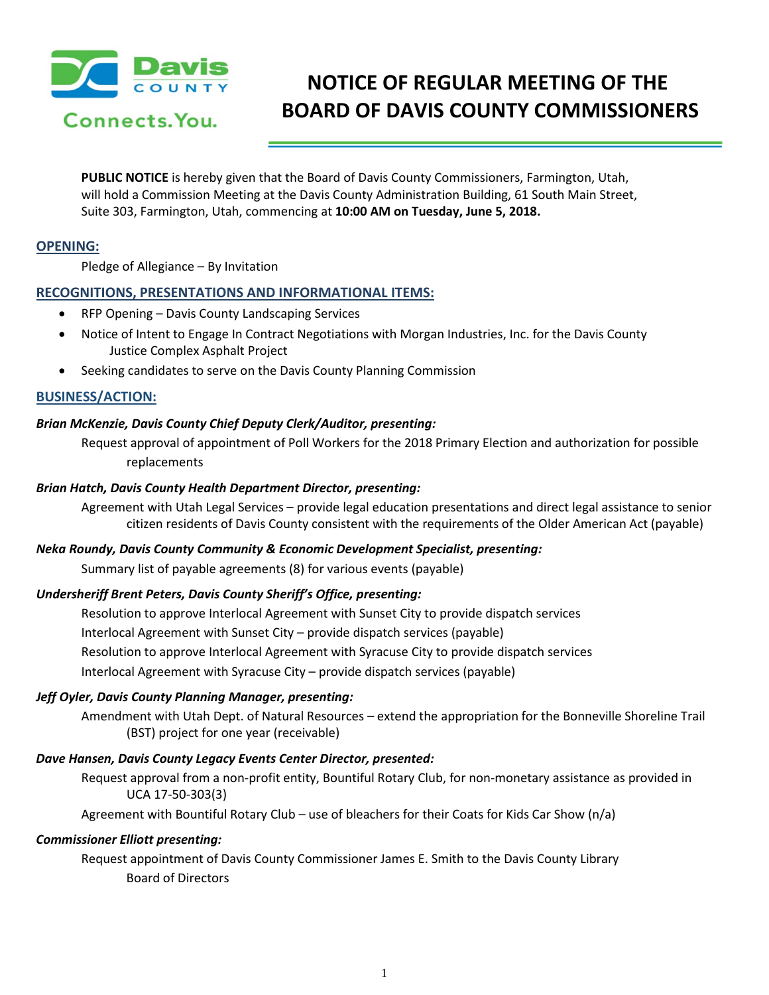

# **NOTICE OF REGULAR MEETING OF THE BOARD OF DAVIS COUNTY COMMISSIONERS**

**PUBLIC NOTICE** is hereby given that the Board of Davis County Commissioners, Farmington, Utah, will hold a Commission Meeting at the Davis County Administration Building, 61 South Main Street, Suite 303, Farmington, Utah, commencing at **10:00 AM on Tuesday, June 5, 2018.**

# **OPENING:**

Pledge of Allegiance – By Invitation

# **RECOGNITIONS, PRESENTATIONS AND INFORMATIONAL ITEMS:**

- RFP Opening Davis County Landscaping Services
	- Notice of Intent to Engage In Contract Negotiations with Morgan Industries, Inc. for the Davis County Justice Complex Asphalt Project
- Seeking candidates to serve on the Davis County Planning Commission

# **BUSINESS/ACTION:**

# *Brian McKenzie, Davis County Chief Deputy Clerk/Auditor, presenting:*

Request approval of appointment of Poll Workers for the 2018 Primary Election and authorization for possible replacements

#### *Brian Hatch, Davis County Health Department Director, presenting:*

Agreement with Utah Legal Services – provide legal education presentations and direct legal assistance to senior citizen residents of Davis County consistent with the requirements of the Older American Act (payable)

#### *Neka Roundy, Davis County Community & Economic Development Specialist, presenting:*

Summary list of payable agreements (8) for various events (payable)

#### *Undersheriff Brent Peters, Davis County Sheriff's Office, presenting:*

Resolution to approve Interlocal Agreement with Sunset City to provide dispatch services Interlocal Agreement with Sunset City – provide dispatch services (payable) Resolution to approve Interlocal Agreement with Syracuse City to provide dispatch services Interlocal Agreement with Syracuse City – provide dispatch services (payable)

#### *Jeff Oyler, Davis County Planning Manager, presenting:*

Amendment with Utah Dept. of Natural Resources – extend the appropriation for the Bonneville Shoreline Trail (BST) project for one year (receivable)

#### *Dave Hansen, Davis County Legacy Events Center Director, presented:*

Request approval from a non-profit entity, Bountiful Rotary Club, for non-monetary assistance as provided in UCA 17-50-303(3)

Agreement with Bountiful Rotary Club – use of bleachers for their Coats for Kids Car Show (n/a)

#### *Commissioner Elliott presenting:*

Request appointment of Davis County Commissioner James E. Smith to the Davis County Library Board of Directors